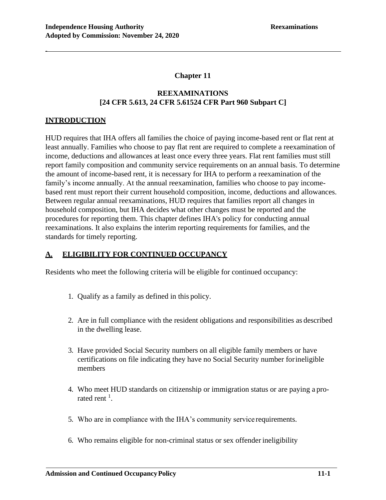# **Chapter 11**

# **REEXAMINATIONS [24 CFR 5.613, 24 CFR 5.61524 CFR Part 960 Subpart C]**

# **INTRODUCTION**

-

HUD requires that IHA offers all families the choice of paying income-based rent or flat rent at least annually. Families who choose to pay flat rent are required to complete a reexamination of income, deductions and allowances at least once every three years. Flat rent families must still report family composition and community service requirements on an annual basis. To determine the amount of income-based rent, it is necessary for IHA to perform a reexamination of the family's income annually. At the annual reexamination, families who choose to pay incomebased rent must report their current household composition, income, deductions and allowances. Between regular annual reexaminations, HUD requires that families report all changes in household composition, but IHA decides what other changes must be reported and the procedures for reporting them. This chapter defines IHA's policy for conducting annual reexaminations. It also explains the interim reporting requirements for families, and the standards for timely reporting.

# **A. ELIGIBILITY FOR CONTINUED OCCUPANCY**

Residents who meet the following criteria will be eligible for continued occupancy:

- 1. Qualify as a family as defined in this policy.
- 2. Are in full compliance with the resident obligations and responsibilities as described in the dwelling lease.
- 3. Have provided Social Security numbers on all eligible family members or have certifications on file indicating they have no Social Security number forineligible members
- 4. Who meet HUD standards on citizenship or immigration status or are paying a prorated rent  $^1$ .
- 5. Who are in compliance with the IHA's community service requirements.
- 6. Who remains eligible for non-criminal status or sex offender ineligibility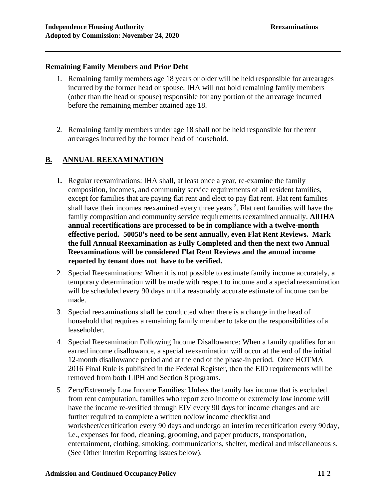## **Remaining Family Members and Prior Debt**

- 1. Remaining family members age 18 years or older will be held responsible for arrearages incurred by the former head or spouse. IHA will not hold remaining family members (other than the head or spouse) responsible for any portion of the arrearage incurred before the remaining member attained age 18.
- 2. Remaining family members under age 18 shall not be held responsible for the rent arrearages incurred by the former head of household.

# **B. ANNUAL REEXAMINATION**

- **1.** Regular reexaminations: IHA shall, at least once a year, re-examine the family composition, incomes, and community service requirements of all resident families, except for families that are paying flat rent and elect to pay flat rent. Flat rent families shall have their incomes reexamined every three years  $2$ . Flat rent families will have the family composition and community service requirements reexamined annually. **AllIHA annual recertifications are processed to be in compliance with a twelve-month effective period. 50058's need to be sent annually, even Flat Rent Reviews. Mark the full Annual Reexamination as Fully Completed and then the next two Annual Reexaminations will be considered Flat Rent Reviews and the annual income reported by tenant does not have to be verified.**
- 2. Special Reexaminations: When it is not possible to estimate family income accurately, a temporary determination will be made with respect to income and a special reexamination will be scheduled every 90 days until a reasonably accurate estimate of income can be made.
- 3. Special reexaminations shall be conducted when there is a change in the head of household that requires a remaining family member to take on the responsibilities of a leaseholder.
- 4. Special Reexamination Following Income Disallowance: When a family qualifies for an earned income disallowance, a special reexamination will occur at the end of the initial 12-month disallowance period and at the end of the phase-in period. Once HOTMA 2016 Final Rule is published in the Federal Register, then the EID requirements will be removed from both LIPH and Section 8 programs.
- 5. Zero/Extremely Low Income Families: Unless the family has income that is excluded from rent computation, families who report zero income or extremely low income will have the income re-verified through EIV every 90 days for income changes and are further required to complete a written no/low income checklist and worksheet/certification every 90 days and undergo an interim recertification every 90day, i.e., expenses for food, cleaning, grooming, and paper products, transportation, entertainment, clothing, smoking, communications, shelter, medical and miscellaneous s. (See Other Interim Reporting Issues below).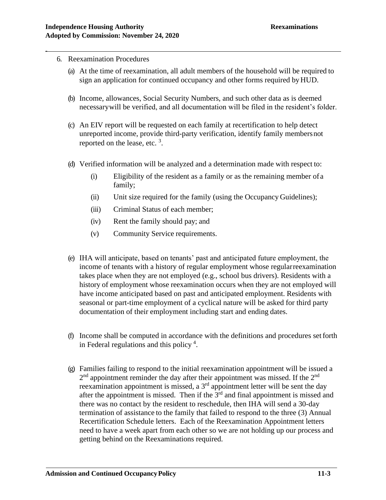6. Reexamination Procedures

-

- (a) At the time of reexamination, all adult members of the household will be required to sign an application for continued occupancy and other forms required byHUD.
- (b) Income, allowances, Social Security Numbers, and such other data as is deemed necessarywill be verified, and all documentation will be filed in the resident's folder.
- (c) An EIV report will be requested on each family at recertification to help detect unreported income, provide third-party verification, identify family membersnot reported on the lease, etc.  $3$ .
- (d) Verified information will be analyzed and a determination made with respect to:
	- (i) Eligibility of the resident as a family or as the remaining member of a family;
	- (ii) Unit size required for the family (using the Occupancy Guidelines);
	- (iii) Criminal Status of each member;
	- (iv) Rent the family should pay; and
	- (v) Community Service requirements.
- (e) IHA will anticipate, based on tenants' past and anticipated future employment, the income of tenants with a history of regular employment whose regularreexamination takes place when they are not employed (e.g., school bus drivers). Residents with a history of employment whose reexamination occurs when they are not employed will have income anticipated based on past and anticipated employment. Residents with seasonal or part-time employment of a cyclical nature will be asked for third party documentation of their employment including start and ending dates.
- (f) Income shall be computed in accordance with the definitions and procedures setforth in Federal regulations and this policy<sup>4</sup>.
- (g) Families failing to respond to the initial reexamination appointment will be issued a  $2<sup>nd</sup>$  appointment reminder the day after their appointment was missed. If the  $2<sup>nd</sup>$ reexamination appointment is missed, a 3rd appointment letter will be sent the day after the appointment is missed. Then if the  $3<sup>rd</sup>$  and final appointment is missed and there was no contact by the resident to reschedule, then IHA will send a 30-day termination of assistance to the family that failed to respond to the three (3) Annual Recertification Schedule letters. Each of the Reexamination Appointment letters need to have a week apart from each other so we are not holding up our process and getting behind on the Reexaminations required.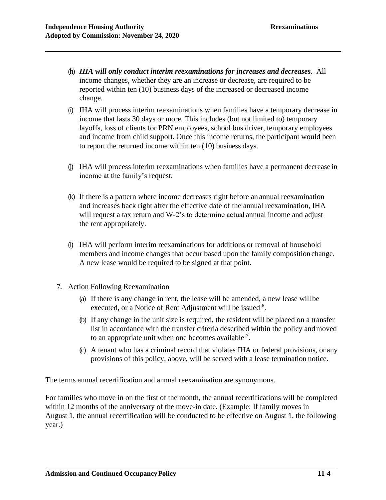- (h) *IHA will only conduct interim reexaminations for increases and decreases*. All income changes, whether they are an increase or decrease, are required to be reported within ten (10) business days of the increased or decreased income change.
- (i) IHA will process interim reexaminations when families have a temporary decrease in income that lasts 30 days or more. This includes (but not limited to) temporary layoffs, loss of clients for PRN employees, school bus driver, temporary employees and income from child support. Once this income returns, the participant would been to report the returned income within ten (10) business days.
- (j) IHA will process interim reexaminations when families have a permanent decrease in income at the family's request.
- (k) If there is a pattern where income decreases right before an annual reexamination and increases back right after the effective date of the annual reexamination, IHA will request a tax return and W-2's to determine actual annual income and adjust the rent appropriately.
- (l) IHA will perform interim reexaminations for additions or removal of household members and income changes that occur based upon the family composition change. A new lease would be required to be signed at that point.
- 7. Action Following Reexamination
	- (a) If there is any change in rent, the lease will be amended, a new lease will be executed, or a Notice of Rent Adjustment will be issued <sup>6</sup>.
	- (b) If any change in the unit size is required, the resident will be placed on a transfer list in accordance with the transfer criteria described within the policy andmoved to an appropriate unit when one becomes available  $<sup>7</sup>$ .</sup>
	- (c) A tenant who has a criminal record that violates IHA or federal provisions, or any provisions of this policy, above, will be served with a lease termination notice.

The terms annual recertification and annual reexamination are synonymous.

For families who move in on the first of the month, the annual recertifications will be completed within 12 months of the anniversary of the move-in date. (Example: If family moves in August 1, the annual recertification will be conducted to be effective on August 1, the following year.)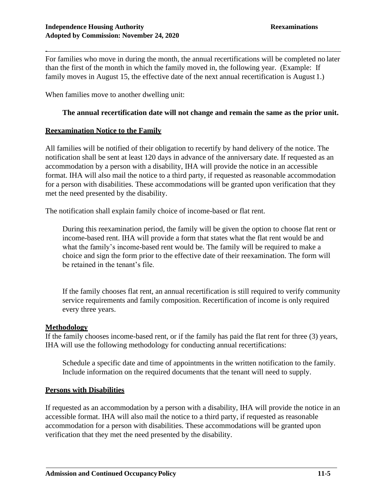For families who move in during the month, the annual recertifications will be completed no later than the first of the month in which the family moved in, the following year. (Example: If family moves in August 15, the effective date of the next annual recertification is August 1.)

When families move to another dwelling unit:

## **The annual recertification date will not change and remain the same as the prior unit.**

## **Reexamination Notice to the Family**

All families will be notified of their obligation to recertify by hand delivery of the notice. The notification shall be sent at least 120 days in advance of the anniversary date. If requested as an accommodation by a person with a disability, IHA will provide the notice in an accessible format. IHA will also mail the notice to a third party, if requested as reasonable accommodation for a person with disabilities. These accommodations will be granted upon verification that they met the need presented by the disability.

The notification shall explain family choice of income-based or flat rent.

During this reexamination period, the family will be given the option to choose flat rent or income-based rent. IHA will provide a form that states what the flat rent would be and what the family's income-based rent would be. The family will be required to make a choice and sign the form prior to the effective date of their reexamination. The form will be retained in the tenant's file.

If the family chooses flat rent, an annual recertification is still required to verify community service requirements and family composition. Recertification of income is only required every three years.

### **Methodology**

If the family chooses income-based rent, or if the family has paid the flat rent for three (3) years, IHA will use the following methodology for conducting annual recertifications:

Schedule a specific date and time of appointments in the written notification to the family. Include information on the required documents that the tenant will need to supply.

## **Persons with Disabilities**

If requested as an accommodation by a person with a disability, IHA will provide the notice in an accessible format. IHA will also mail the notice to a third party, if requested as reasonable accommodation for a person with disabilities. These accommodations will be granted upon verification that they met the need presented by the disability.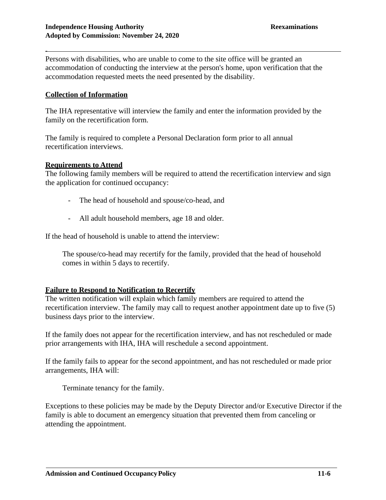Persons with disabilities, who are unable to come to the site office will be granted an accommodation of conducting the interview at the person's home, upon verification that the accommodation requested meets the need presented by the disability.

#### **Collection of Information**

-

The IHA representative will interview the family and enter the information provided by the family on the recertification form.

The family is required to complete a Personal Declaration form prior to all annual recertification interviews.

#### **Requirements to Attend**

The following family members will be required to attend the recertification interview and sign the application for continued occupancy:

- The head of household and spouse/co-head, and
- All adult household members, age 18 and older.

If the head of household is unable to attend the interview:

The spouse/co-head may recertify for the family, provided that the head of household comes in within 5 days to recertify.

#### **Failure to Respond to Notification to Recertify**

The written notification will explain which family members are required to attend the recertification interview. The family may call to request another appointment date up to five (5) business days prior to the interview.

If the family does not appear for the recertification interview, and has not rescheduled or made prior arrangements with IHA, IHA will reschedule a second appointment.

If the family fails to appear for the second appointment, and has not rescheduled or made prior arrangements, IHA will:

Terminate tenancy for the family.

Exceptions to these policies may be made by the Deputy Director and/or Executive Director if the family is able to document an emergency situation that prevented them from canceling or attending the appointment.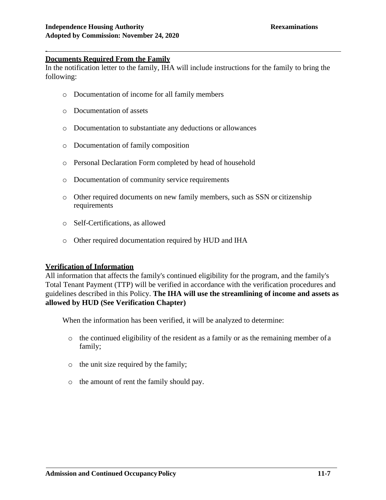## **Documents Required From the Family**

-

In the notification letter to the family, IHA will include instructions for the family to bring the following:

- o Documentation of income for all family members
- o Documentation of assets
- o Documentation to substantiate any deductions or allowances
- o Documentation of family composition
- o Personal Declaration Form completed by head of household
- o Documentation of community service requirements
- o Other required documents on new family members, such as SSN or citizenship requirements
- o Self-Certifications, as allowed
- o Other required documentation required by HUD and IHA

#### **Verification of Information**

All information that affects the family's continued eligibility for the program, and the family's Total Tenant Payment (TTP) will be verified in accordance with the verification procedures and guidelines described in this Policy. **The IHA will use the streamlining of income and assets as allowed by HUD (See Verification Chapter)**

When the information has been verified, it will be analyzed to determine:

- o the continued eligibility of the resident as a family or as the remaining member ofa family;
- o the unit size required by the family;
- o the amount of rent the family should pay.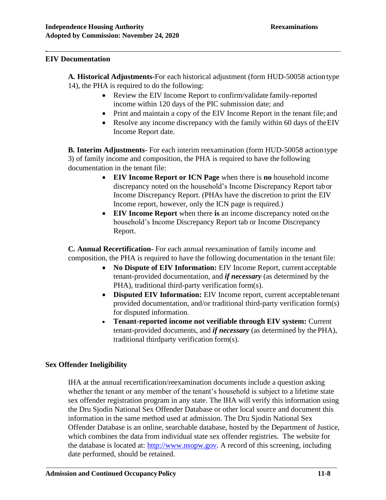## **EIV Documentation**

-

**A. Historical Adjustments-**For each historical adjustment (form HUD-50058 actiontype 14), the PHA is required to do the following:

- Review the EIV Income Report to confirm/validate family-reported income within 120 days of the PIC submission date; and
- Print and maintain a copy of the EIV Income Report in the tenant file; and
- Resolve any income discrepancy with the family within 60 days of the EIV Income Report date.

**B. Interim Adjustments-** For each interim reexamination (form HUD-50058 action type 3) of family income and composition, the PHA is required to have the following documentation in the tenant file:

- **EIV Income Report or ICN Page** when there is **no** household income discrepancy noted on the household's Income Discrepancy Report tabor Income Discrepancy Report. (PHAs have the discretion to print the EIV Income report, however, only the ICN page is required.)
- **EIV Income Report** when there **is** an income discrepancy noted on the household's Income Discrepancy Report tab or Income Discrepancy Report.

**C. Annual Recertification-** For each annual reexamination of family income and composition, the PHA is required to have the following documentation in the tenant file:

- **No Dispute of EIV Information:** EIV Income Report, current acceptable tenant-provided documentation, and *if necessary* (as determined by the PHA), traditional third-party verification form(s).
- **Disputed EIV Information:** EIV Income report, current acceptable tenant provided documentation, and/or traditional third-party verification form(s) for disputed information.
- **Tenant-reported income not verifiable through EIV system:** Current tenant-provided documents, and *if necessary* (as determined by the PHA), traditional thirdparty verification form(s).

# **Sex Offender Ineligibility**

IHA at the annual recertification/reexamination documents include a question asking whether the tenant or any member of the tenant's household is subject to a lifetime state sex offender registration program in any state. The IHA will verify this information using the Dru Sjodin National Sex Offender Database or other local source and document this information in the same method used at admission. The Dru Sjodin National Sex Offender Database is an online, searchable database, hosted by the Department of Justice, which combines the data from individual state sex offender registries. The website for the database is located at: [http://www.nsopw.gov.](http://www.nsopw.gov/) A record of this screening, including date performed, should be retained.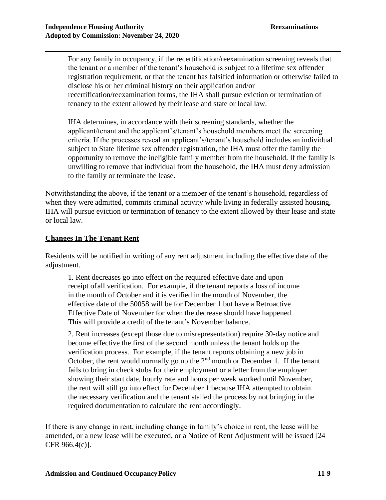For any family in occupancy, if the recertification/reexamination screening reveals that the tenant or a member of the tenant's household is subject to a lifetime sex offender registration requirement, or that the tenant has falsified information or otherwise failed to disclose his or her criminal history on their application and/or recertification/reexamination forms, the IHA shall pursue eviction or termination of tenancy to the extent allowed by their lease and state or local law.

IHA determines, in accordance with their screening standards, whether the applicant/tenant and the applicant's/tenant's household members meet the screening criteria. If the processes reveal an applicant's/tenant's household includes an individual subject to State lifetime sex offender registration, the IHA must offer the family the opportunity to remove the ineligible family member from the household. If the family is unwilling to remove that individual from the household, the IHA must deny admission to the family or terminate the lease.

Notwithstanding the above, if the tenant or a member of the tenant's household, regardless of when they were admitted, commits criminal activity while living in federally assisted housing, IHA will pursue eviction or termination of tenancy to the extent allowed by their lease and state or local law.

## **Changes In The Tenant Rent**

Residents will be notified in writing of any rent adjustment including the effective date of the adjustment.

1. Rent decreases go into effect on the required effective date and upon receipt ofall verification. For example, if the tenant reports a loss of income in the month of October and it is verified in the month of November, the effective date of the 50058 will be for December 1 but have a Retroactive Effective Date of November for when the decrease should have happened. This will provide a credit of the tenant's November balance.

2. Rent increases (except those due to misrepresentation) require 30-day notice and become effective the first of the second month unless the tenant holds up the verification process. For example, if the tenant reports obtaining a new job in October, the rent would normally go up the  $2<sup>nd</sup>$  month or December 1. If the tenant fails to bring in check stubs for their employment or a letter from the employer showing their start date, hourly rate and hours per week worked until November, the rent will still go into effect for December 1 because IHA attempted to obtain the necessary verification and the tenant stalled the process by not bringing in the required documentation to calculate the rent accordingly.

If there is any change in rent, including change in family's choice in rent, the lease will be amended, or a new lease will be executed, or a Notice of Rent Adjustment will be issued [24 CFR 966.4(c)].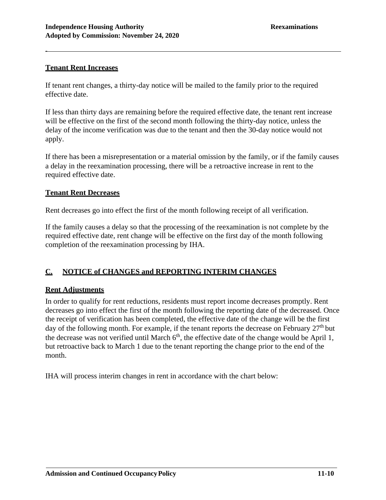## **Tenant Rent Increases**

-

If tenant rent changes, a thirty-day notice will be mailed to the family prior to the required effective date.

If less than thirty days are remaining before the required effective date, the tenant rent increase will be effective on the first of the second month following the thirty-day notice, unless the delay of the income verification was due to the tenant and then the 30-day notice would not apply.

If there has been a misrepresentation or a material omission by the family, or if the family causes a delay in the reexamination processing, there will be a retroactive increase in rent to the required effective date.

## **Tenant Rent Decreases**

Rent decreases go into effect the first of the month following receipt of all verification.

If the family causes a delay so that the processing of the reexamination is not complete by the required effective date, rent change will be effective on the first day of the month following completion of the reexamination processing by IHA.

# **C. NOTICE of CHANGES and REPORTING INTERIM CHANGES**

# **Rent Adjustments**

In order to qualify for rent reductions, residents must report income decreases promptly. Rent decreases go into effect the first of the month following the reporting date of the decreased. Once the receipt of verification has been completed, the effective date of the change will be the first day of the following month. For example, if the tenant reports the decrease on February  $27<sup>th</sup>$  but the decrease was not verified until March  $6<sup>th</sup>$ , the effective date of the change would be April 1, but retroactive back to March 1 due to the tenant reporting the change prior to the end of the month.

IHA will process interim changes in rent in accordance with the chart below: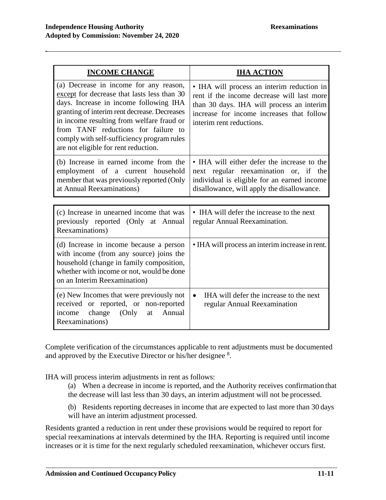| <b>INCOME CHANGE</b>                                                                                                                                                                                                                                                                                                                                      | <b>IHA ACTION</b>                                                                                                                                                                                              |
|-----------------------------------------------------------------------------------------------------------------------------------------------------------------------------------------------------------------------------------------------------------------------------------------------------------------------------------------------------------|----------------------------------------------------------------------------------------------------------------------------------------------------------------------------------------------------------------|
| (a) Decrease in income for any reason,<br>except for decrease that lasts less than 30<br>days. Increase in income following IHA<br>granting of interim rent decrease. Decreases<br>in income resulting from welfare fraud or<br>from TANF reductions for failure to<br>comply with self-sufficiency program rules<br>are not eligible for rent reduction. | • IHA will process an interim reduction in<br>rent if the income decrease will last more<br>than 30 days. IHA will process an interim<br>increase for income increases that follow<br>interim rent reductions. |
| (b) Increase in earned income from the<br>employment of a current household<br>member that was previously reported (Only<br>at Annual Reexaminations)                                                                                                                                                                                                     | • IHA will either defer the increase to the<br>next regular reexamination or, if the<br>individual is eligible for an earned income<br>disallowance, will apply the disallowance.                              |
|                                                                                                                                                                                                                                                                                                                                                           |                                                                                                                                                                                                                |
| (c) Increase in unearned income that was<br>previously reported (Only at Annual<br>Reexaminations)                                                                                                                                                                                                                                                        | • IHA will defer the increase to the next<br>regular Annual Reexamination.                                                                                                                                     |
| (d) Increase in income because a person<br>with income (from any source) joins the<br>household (change in family composition,<br>whether with income or not, would be done<br>on an Interim Reexamination)                                                                                                                                               | • IHA will process an interim increase in rent.                                                                                                                                                                |
| (e) New Incomes that were previously not<br>received or reported, or non-reported<br>income change<br>(Only<br>Annual<br>at<br>Reexaminations)                                                                                                                                                                                                            | IHA will defer the increase to the next<br>$\bullet$<br>regular Annual Reexamination                                                                                                                           |

Complete verification of the circumstances applicable to rent adjustments must be documented and approved by the Executive Director or his/her designee <sup>8</sup>.

IHA will process interim adjustments in rent as follows:

- (a) When a decrease in income is reported, and the Authority receives confirmation that the decrease will last less than 30 days, an interim adjustment will not be processed.
- (b) Residents reporting decreases in income that are expected to last more than 30 days will have an interim adjustment processed.

Residents granted a reduction in rent under these provisions would be required to report for special reexaminations at intervals determined by the IHA. Reporting is required until income increases or it is time for the next regularly scheduled reexamination, whichever occurs first.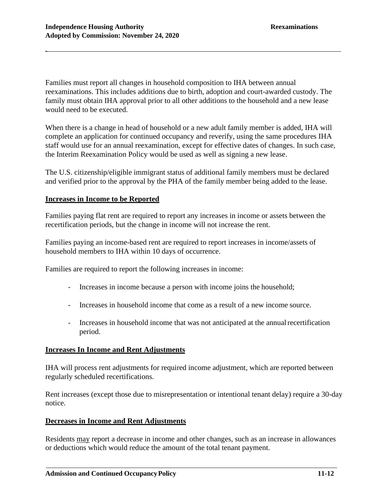Families must report all changes in household composition to IHA between annual reexaminations. This includes additions due to birth, adoption and court-awarded custody. The family must obtain IHA approval prior to all other additions to the household and a new lease would need to be executed.

When there is a change in head of household or a new adult family member is added, IHA will complete an application for continued occupancy and reverify, using the same procedures IHA staff would use for an annual reexamination, except for effective dates of changes. In such case, the Interim Reexamination Policy would be used as well as signing a new lease.

The U.S. citizenship/eligible immigrant status of additional family members must be declared and verified prior to the approval by the PHA of the family member being added to the lease.

## **Increases in Income to be Reported**

Families paying flat rent are required to report any increases in income or assets between the recertification periods, but the change in income will not increase the rent.

Families paying an income-based rent are required to report increases in income/assets of household members to IHA within 10 days of occurrence.

Families are required to report the following increases in income:

- Increases in income because a person with income joins the household;
- Increases in household income that come as a result of a new income source.
- Increases in household income that was not anticipated at the annual recertification period.

#### **Increases In Income and Rent Adjustments**

IHA will process rent adjustments for required income adjustment, which are reported between regularly scheduled recertifications.

Rent increases (except those due to misrepresentation or intentional tenant delay) require a 30-day notice.

# **Decreases in Income and Rent Adjustments**

Residents may report a decrease in income and other changes, such as an increase in allowances or deductions which would reduce the amount of the total tenant payment.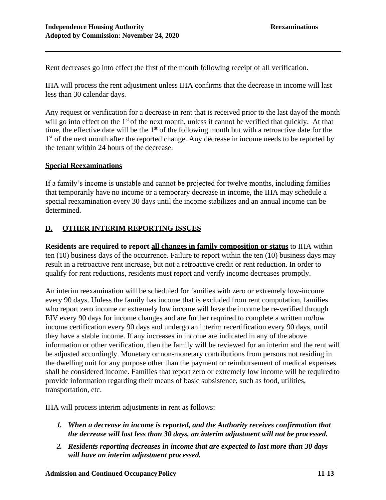Rent decreases go into effect the first of the month following receipt of all verification.

IHA will process the rent adjustment unless IHA confirms that the decrease in income will last less than 30 calendar days.

Any request or verification for a decrease in rent that is received prior to the last dayof the month will go into effect on the 1<sup>st</sup> of the next month, unless it cannot be verified that quickly. At that time, the effective date will be the 1<sup>st</sup> of the following month but with a retroactive date for the 1<sup>st</sup> of the next month after the reported change. Any decrease in income needs to be reported by the tenant within 24 hours of the decrease.

## **Special Reexaminations**

-

If a family's income is unstable and cannot be projected for twelve months, including families that temporarily have no income or a temporary decrease in income, the IHA may schedule a special reexamination every 30 days until the income stabilizes and an annual income can be determined.

## **D. OTHER INTERIM REPORTING ISSUES**

**Residents are required to report all changes in family composition or status** to IHA within ten (10) business days of the occurrence. Failure to report within the ten (10) business days may result in a retroactive rent increase, but not a retroactive credit or rent reduction. In order to qualify for rent reductions, residents must report and verify income decreases promptly.

An interim reexamination will be scheduled for families with zero or extremely low-income every 90 days. Unless the family has income that is excluded from rent computation, families who report zero income or extremely low income will have the income be re-verified through EIV every 90 days for income changes and are further required to complete a written no/low income certification every 90 days and undergo an interim recertification every 90 days, until they have a stable income. If any increases in income are indicated in any of the above information or other verification, then the family will be reviewed for an interim and the rent will be adjusted accordingly. Monetary or non-monetary contributions from persons not residing in the dwelling unit for any purpose other than the payment or reimbursement of medical expenses shall be considered income. Families that report zero or extremely low income will be required to provide information regarding their means of basic subsistence, such as food, utilities, transportation, etc.

IHA will process interim adjustments in rent as follows:

- *1. When a decrease in income is reported, and the Authority receives confirmation that the decrease will last less than 30 days, an interim adjustment will not be processed.*
- *2. Residents reporting decreases in income that are expected to last more than 30 days will have an interim adjustment processed.*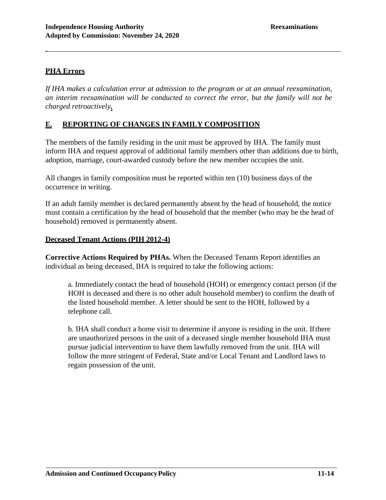# **PHA Errors**

-

*If IHA makes a calculation error at admission to the program or at an annual reexamination, an interim reexamination will be conducted to correct the error, but the family will not be charged retroactively.*

## **E. REPORTING OF CHANGES IN FAMILY COMPOSITION**

The members of the family residing in the unit must be approved by IHA. The family must inform IHA and request approval of additional family members other than additions due to birth, adoption, marriage, court-awarded custody before the new member occupies the unit.

All changes in family composition must be reported within ten (10) business days of the occurrence in writing.

If an adult family member is declared permanently absent by the head of household, the notice must contain a certification by the head of household that the member (who may be the head of household) removed is permanently absent.

### **Deceased Tenant Actions (PIH 2012-4)**

**Corrective Actions Required by PHAs.** When the Deceased Tenants Report identifies an individual as being deceased, IHA is required to take the following actions:

a. Immediately contact the head of household (HOH) or emergency contact person (if the HOH is deceased and there is no other adult household member) to confirm the death of the listed household member. A letter should be sent to the HOH, followed by a telephone call.

b. IHA shall conduct a home visit to determine if anyone is residing in the unit. Ifthere are unauthorized persons in the unit of a deceased single member household IHA must pursue judicial intervention to have them lawfully removed from the unit. IHA will follow the more stringent of Federal, State and/or Local Tenant and Landlord laws to regain possession of the unit.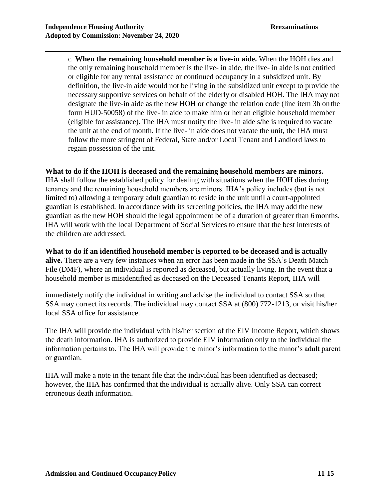c. **When the remaining household member is a live-in aide.** When the HOH dies and the only remaining household member is the live- in aide, the live- in aide is not entitled or eligible for any rental assistance or continued occupancy in a subsidized unit. By definition, the live-in aide would not be living in the subsidized unit except to provide the necessary supportive services on behalf of the elderly or disabled HOH. The IHA may not designate the live-in aide as the new HOH or change the relation code (line item 3h on the form HUD-50058) of the live- in aide to make him or her an eligible household member (eligible for assistance). The IHA must notify the live- in aide s/he is required to vacate the unit at the end of month. If the live- in aide does not vacate the unit, the IHA must follow the more stringent of Federal, State and/or Local Tenant and Landlord laws to regain possession of the unit.

## **What to do if the HOH is deceased and the remaining household members are minors.**

IHA shall follow the established policy for dealing with situations when the HOH dies during tenancy and the remaining household members are minors. IHA's policy includes (but is not limited to) allowing a temporary adult guardian to reside in the unit until a court-appointed guardian is established. In accordance with its screening policies, the IHA may add the new guardian as the new HOH should the legal appointment be of a duration of greater than 6months. IHA will work with the local Department of Social Services to ensure that the best interests of the children are addressed.

## **What to do if an identified household member is reported to be deceased and is actually**

**alive.** There are a very few instances when an error has been made in the SSA's Death Match File (DMF), where an individual is reported as deceased, but actually living. In the event that a household member is misidentified as deceased on the Deceased Tenants Report, IHA will

immediately notify the individual in writing and advise the individual to contact SSA so that SSA may correct its records. The individual may contact SSA at (800) 772-1213, or visit his/her local SSA office for assistance.

The IHA will provide the individual with his/her section of the EIV Income Report, which shows the death information. IHA is authorized to provide EIV information only to the individual the information pertains to. The IHA will provide the minor's information to the minor's adult parent or guardian.

IHA will make a note in the tenant file that the individual has been identified as deceased; however, the IHA has confirmed that the individual is actually alive. Only SSA can correct erroneous death information.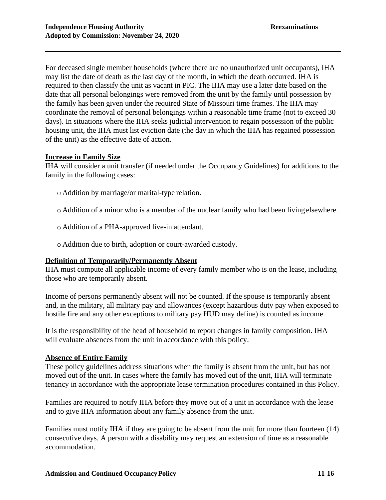For deceased single member households (where there are no unauthorized unit occupants), IHA may list the date of death as the last day of the month, in which the death occurred. IHA is required to then classify the unit as vacant in PIC. The IHA may use a later date based on the date that all personal belongings were removed from the unit by the family until possession by the family has been given under the required State of Missouri time frames. The IHA may coordinate the removal of personal belongings within a reasonable time frame (not to exceed 30 days). In situations where the IHA seeks judicial intervention to regain possession of the public housing unit, the IHA must list eviction date (the day in which the IHA has regained possession of the unit) as the effective date of action.

#### **Increase in Family Size**

-

IHA will consider a unit transfer (if needed under the Occupancy Guidelines) for additions to the family in the following cases:

- o Addition by marriage/or marital-type relation.
- o Addition of a minor who is a member of the nuclear family who had been living elsewhere.
- o Addition of a PHA-approved live-in attendant.
- o Addition due to birth, adoption or court-awarded custody.

#### **Definition of Temporarily/Permanently Absent**

IHA must compute all applicable income of every family member who is on the lease, including those who are temporarily absent.

Income of persons permanently absent will not be counted. If the spouse is temporarily absent and, in the military, all military pay and allowances (except hazardous duty pay when exposed to hostile fire and any other exceptions to military pay HUD may define) is counted as income.

It is the responsibility of the head of household to report changes in family composition. IHA will evaluate absences from the unit in accordance with this policy.

#### **Absence of Entire Family**

These policy guidelines address situations when the family is absent from the unit, but has not moved out of the unit. In cases where the family has moved out of the unit, IHA will terminate tenancy in accordance with the appropriate lease termination procedures contained in this Policy.

Families are required to notify IHA before they move out of a unit in accordance with the lease and to give IHA information about any family absence from the unit.

Families must notify IHA if they are going to be absent from the unit for more than fourteen (14) consecutive days. A person with a disability may request an extension of time as a reasonable accommodation.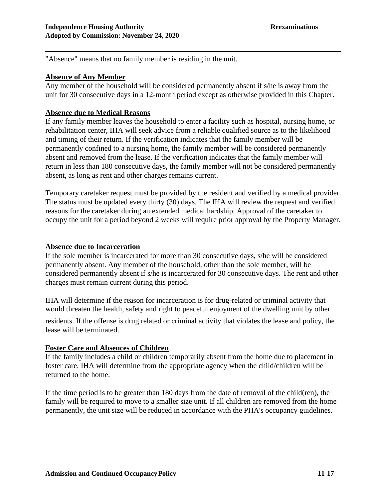"Absence" means that no family member is residing in the unit.

# **Absence of Any Member**

-

Any member of the household will be considered permanently absent if s/he is away from the unit for 30 consecutive days in a 12-month period except as otherwise provided in this Chapter.

## **Absence due to Medical Reasons**

If any family member leaves the household to enter a facility such as hospital, nursing home, or rehabilitation center, IHA will seek advice from a reliable qualified source as to the likelihood and timing of their return. If the verification indicates that the family member will be permanently confined to a nursing home, the family member will be considered permanently absent and removed from the lease. If the verification indicates that the family member will return in less than 180 consecutive days, the family member will not be considered permanently absent, as long as rent and other charges remains current.

Temporary caretaker request must be provided by the resident and verified by a medical provider. The status must be updated every thirty (30) days. The IHA will review the request and verified reasons for the caretaker during an extended medical hardship. Approval of the caretaker to occupy the unit for a period beyond 2 weeks will require prior approval by the Property Manager.

## **Absence due to Incarceration**

If the sole member is incarcerated for more than 30 consecutive days, s/he will be considered permanently absent. Any member of the household, other than the sole member, will be considered permanently absent if s/he is incarcerated for 30 consecutive days. The rent and other charges must remain current during this period.

IHA will determine if the reason for incarceration is for drug-related or criminal activity that would threaten the health, safety and right to peaceful enjoyment of the dwelling unit by other

residents. If the offense is drug related or criminal activity that violates the lease and policy, the lease will be terminated.

## **Foster Care and Absences of Children**

If the family includes a child or children temporarily absent from the home due to placement in foster care, IHA will determine from the appropriate agency when the child/children will be returned to the home.

If the time period is to be greater than 180 days from the date of removal of the child(ren), the family will be required to move to a smaller size unit. If all children are removed from the home permanently, the unit size will be reduced in accordance with the PHA's occupancy guidelines.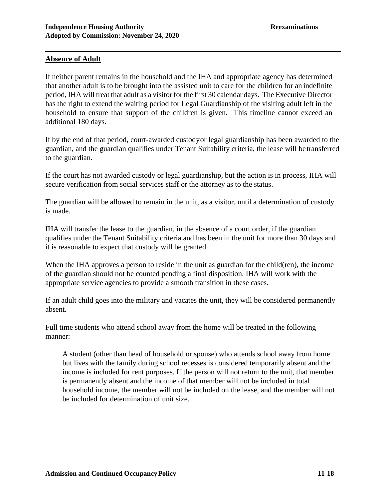## **Absence of Adult**

-

If neither parent remains in the household and the IHA and appropriate agency has determined that another adult is to be brought into the assisted unit to care for the children for an indefinite period, IHA will treat that adult as a visitor for the first 30 calendar days. The Executive Director has the right to extend the waiting period for Legal Guardianship of the visiting adult left in the household to ensure that support of the children is given. This timeline cannot exceed an additional 180 days.

If by the end of that period, court-awarded custodyor legal guardianship has been awarded to the guardian, and the guardian qualifies under Tenant Suitability criteria, the lease will be transferred to the guardian.

If the court has not awarded custody or legal guardianship, but the action is in process, IHA will secure verification from social services staff or the attorney as to the status.

The guardian will be allowed to remain in the unit, as a visitor, until a determination of custody is made.

IHA will transfer the lease to the guardian, in the absence of a court order, if the guardian qualifies under the Tenant Suitability criteria and has been in the unit for more than 30 days and it is reasonable to expect that custody will be granted.

When the IHA approves a person to reside in the unit as guardian for the child(ren), the income of the guardian should not be counted pending a final disposition. IHA will work with the appropriate service agencies to provide a smooth transition in these cases.

If an adult child goes into the military and vacates the unit, they will be considered permanently absent.

Full time students who attend school away from the home will be treated in the following manner:

A student (other than head of household or spouse) who attends school away from home but lives with the family during school recesses is considered temporarily absent and the income is included for rent purposes. If the person will not return to the unit, that member is permanently absent and the income of that member will not be included in total household income, the member will not be included on the lease, and the member will not be included for determination of unit size.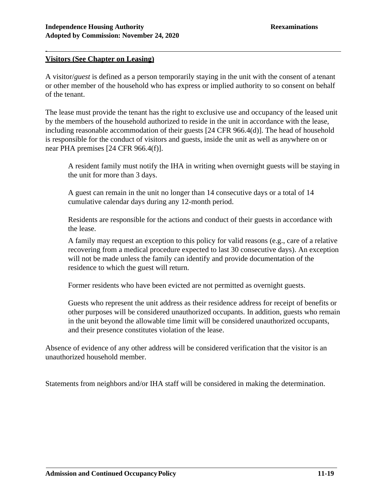## **Visitors (See Chapter on Leasing)**

-

A visitor/*guest* is defined as a person temporarily staying in the unit with the consent of a tenant or other member of the household who has express or implied authority to so consent on behalf of the tenant.

The lease must provide the tenant has the right to exclusive use and occupancy of the leased unit by the members of the household authorized to reside in the unit in accordance with the lease, including reasonable accommodation of their guests [24 CFR 966.4(d)]. The head of household is responsible for the conduct of visitors and guests, inside the unit as well as anywhere on or near PHA premises [24 CFR 966.4(f)].

A resident family must notify the IHA in writing when overnight guests will be staying in the unit for more than 3 days.

A guest can remain in the unit no longer than 14 consecutive days or a total of 14 cumulative calendar days during any 12-month period.

Residents are responsible for the actions and conduct of their guests in accordance with the lease.

A family may request an exception to this policy for valid reasons (e.g., care of a relative recovering from a medical procedure expected to last 30 consecutive days). An exception will not be made unless the family can identify and provide documentation of the residence to which the guest will return.

Former residents who have been evicted are not permitted as overnight guests.

Guests who represent the unit address as their residence address for receipt of benefits or other purposes will be considered unauthorized occupants. In addition, guests who remain in the unit beyond the allowable time limit will be considered unauthorized occupants, and their presence constitutes violation of the lease.

Absence of evidence of any other address will be considered verification that the visitor is an unauthorized household member.

Statements from neighbors and/or IHA staff will be considered in making the determination.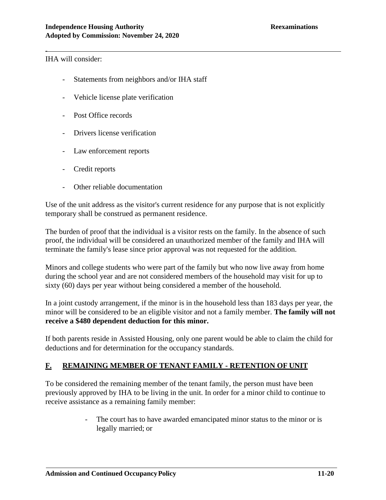IHA will consider:

-

- Statements from neighbors and/or IHA staff
- Vehicle license plate verification
- Post Office records
- Drivers license verification
- Law enforcement reports
- Credit reports
- Other reliable documentation

Use of the unit address as the visitor's current residence for any purpose that is not explicitly temporary shall be construed as permanent residence.

The burden of proof that the individual is a visitor rests on the family. In the absence of such proof, the individual will be considered an unauthorized member of the family and IHA will terminate the family's lease since prior approval was not requested for the addition.

Minors and college students who were part of the family but who now live away from home during the school year and are not considered members of the household may visit for up to sixty (60) days per year without being considered a member of the household.

In a joint custody arrangement, if the minor is in the household less than 183 days per year, the minor will be considered to be an eligible visitor and not a family member. **The family will not receive a \$480 dependent deduction for this minor.**

If both parents reside in Assisted Housing, only one parent would be able to claim the child for deductions and for determination for the occupancy standards.

## **F. REMAINING MEMBER OF TENANT FAMILY - RETENTION OF UNIT**

To be considered the remaining member of the tenant family, the person must have been previously approved by IHA to be living in the unit. In order for a minor child to continue to receive assistance as a remaining family member:

> The court has to have awarded emancipated minor status to the minor or is legally married; or